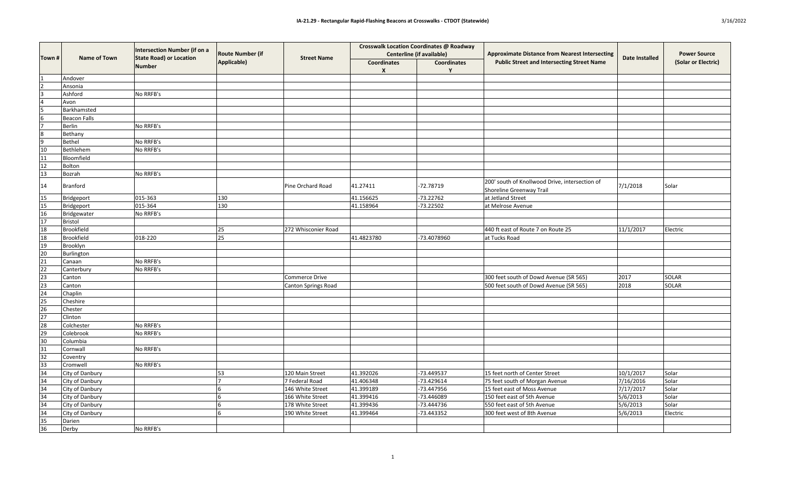|                                                                                                                    | <b>Name of Town</b> | <b>Intersection Number (if on a</b><br><b>State Road) or Location</b><br>Number | <b>Route Number (if</b><br><b>Applicable</b> ) | <b>Street Name</b>         | <b>Crosswalk Location Coordinates @ Roadway</b><br><b>Centerline (if available)</b> |                    | <b>Approximate Distance from Nearest Intersecting</b>                      | <b>Date Installed</b> | <b>Power Source</b> |
|--------------------------------------------------------------------------------------------------------------------|---------------------|---------------------------------------------------------------------------------|------------------------------------------------|----------------------------|-------------------------------------------------------------------------------------|--------------------|----------------------------------------------------------------------------|-----------------------|---------------------|
| Town #                                                                                                             |                     |                                                                                 |                                                |                            | <b>Coordinates</b><br>$\boldsymbol{X}$                                              | <b>Coordinates</b> | <b>Public Street and Intersecting Street Name</b>                          |                       | (Solar or Electric) |
|                                                                                                                    | Andover             |                                                                                 |                                                |                            |                                                                                     |                    |                                                                            |                       |                     |
|                                                                                                                    | Ansonia             |                                                                                 |                                                |                            |                                                                                     |                    |                                                                            |                       |                     |
|                                                                                                                    | Ashford             | No RRFB's                                                                       |                                                |                            |                                                                                     |                    |                                                                            |                       |                     |
|                                                                                                                    | Avon                |                                                                                 |                                                |                            |                                                                                     |                    |                                                                            |                       |                     |
| 5                                                                                                                  | Barkhamsted         |                                                                                 |                                                |                            |                                                                                     |                    |                                                                            |                       |                     |
|                                                                                                                    | <b>Beacon Falls</b> |                                                                                 |                                                |                            |                                                                                     |                    |                                                                            |                       |                     |
|                                                                                                                    | Berlin              | No RRFB's                                                                       |                                                |                            |                                                                                     |                    |                                                                            |                       |                     |
|                                                                                                                    | Bethany             |                                                                                 |                                                |                            |                                                                                     |                    |                                                                            |                       |                     |
| 9                                                                                                                  | Bethel              | No RRFB's                                                                       |                                                |                            |                                                                                     |                    |                                                                            |                       |                     |
| 10                                                                                                                 | Bethlehem           | No RRFB's                                                                       |                                                |                            |                                                                                     |                    |                                                                            |                       |                     |
| 11                                                                                                                 | Bloomfield          |                                                                                 |                                                |                            |                                                                                     |                    |                                                                            |                       |                     |
| 12                                                                                                                 | Bolton              |                                                                                 |                                                |                            |                                                                                     |                    |                                                                            |                       |                     |
| $ 13\rangle$                                                                                                       | Bozrah              | No RRFB's                                                                       |                                                |                            |                                                                                     |                    |                                                                            |                       |                     |
| 14                                                                                                                 | Branford            |                                                                                 |                                                | Pine Orchard Road          | 41.27411                                                                            | -72.78719          | 200' south of Knollwood Drive, intersection of<br>Shoreline Greenway Trail | 7/1/2018              | Solar               |
|                                                                                                                    | Bridgeport          | 015-363                                                                         | 130                                            |                            | 41.156625                                                                           | $-73.22762$        | at Jetland Street                                                          |                       |                     |
| $\frac{15}{15}$                                                                                                    | Bridgeport          | 015-364                                                                         | 130                                            |                            | 41.158964                                                                           | $-73.22502$        | at Melrose Avenue                                                          |                       |                     |
| $\frac{16}{17}$                                                                                                    | Bridgewater         | No RRFB's                                                                       |                                                |                            |                                                                                     |                    |                                                                            |                       |                     |
|                                                                                                                    | Bristol             |                                                                                 |                                                |                            |                                                                                     |                    |                                                                            |                       |                     |
|                                                                                                                    | Brookfield          |                                                                                 | 25                                             | 272 Whisconier Road        |                                                                                     |                    | 440 ft east of Route 7 on Route 25                                         | 11/1/2017             | Electric            |
| $\begin{array}{r} 18 \\ 18 \\ 19 \end{array}$                                                                      | Brookfield          | 018-220                                                                         | 25                                             |                            | 41.4823780                                                                          | -73.4078960        | at Tucks Road                                                              |                       |                     |
|                                                                                                                    | Brooklyn            |                                                                                 |                                                |                            |                                                                                     |                    |                                                                            |                       |                     |
| 20                                                                                                                 | Burlington          |                                                                                 |                                                |                            |                                                                                     |                    |                                                                            |                       |                     |
| 21                                                                                                                 | Canaan              | No RRFB's                                                                       |                                                |                            |                                                                                     |                    |                                                                            |                       |                     |
| $\overline{22}$                                                                                                    | Canterbury          | No RRFB's                                                                       |                                                |                            |                                                                                     |                    |                                                                            |                       |                     |
|                                                                                                                    | Canton              |                                                                                 |                                                | Commerce Drive             |                                                                                     |                    | 300 feet south of Dowd Avenue (SR 565)                                     | 2017                  | <b>SOLAR</b>        |
| $\frac{23}{23}$                                                                                                    | Canton              |                                                                                 |                                                | <b>Canton Springs Road</b> |                                                                                     |                    | 500 feet south of Dowd Avenue (SR 565)                                     | 2018                  | SOLAR               |
| $\overline{24}$                                                                                                    | Chaplin             |                                                                                 |                                                |                            |                                                                                     |                    |                                                                            |                       |                     |
|                                                                                                                    | Cheshire            |                                                                                 |                                                |                            |                                                                                     |                    |                                                                            |                       |                     |
| $\begin{array}{r} \n \overline{\mathbf{25}} \\  \overline{\mathbf{26}} \\  \overline{\mathbf{27}} \\  \end{array}$ | Chester             |                                                                                 |                                                |                            |                                                                                     |                    |                                                                            |                       |                     |
|                                                                                                                    | Clinton             |                                                                                 |                                                |                            |                                                                                     |                    |                                                                            |                       |                     |
| 28                                                                                                                 | Colchester          | No RRFB's                                                                       |                                                |                            |                                                                                     |                    |                                                                            |                       |                     |
| $\begin{array}{c}\n 29 \\  \hline\n 30\n \end{array}$                                                              | Colebrook           | No RRFB's                                                                       |                                                |                            |                                                                                     |                    |                                                                            |                       |                     |
|                                                                                                                    | Columbia            |                                                                                 |                                                |                            |                                                                                     |                    |                                                                            |                       |                     |
|                                                                                                                    | Cornwall            | No RRFB's                                                                       |                                                |                            |                                                                                     |                    |                                                                            |                       |                     |
| $\frac{31}{32}$                                                                                                    | Coventry            |                                                                                 |                                                |                            |                                                                                     |                    |                                                                            |                       |                     |
| 33                                                                                                                 | Cromwell            | No RRFB's                                                                       |                                                |                            |                                                                                     |                    |                                                                            |                       |                     |
| 34                                                                                                                 | City of Danbury     |                                                                                 | 53                                             | 120 Main Street            | 41.392026                                                                           | -73.449537         | 15 feet north of Center Street                                             | 10/1/2017             | Solar               |
| $\overline{34}$                                                                                                    | City of Danbury     |                                                                                 |                                                | 7 Federal Road             | 41.406348                                                                           | -73.429614         | 75 feet south of Morgan Avenue                                             | 7/16/2016             | Solar               |
| 34                                                                                                                 | City of Danbury     |                                                                                 |                                                | 146 White Street           | 41.399189                                                                           | -73.447956         | 15 feet east of Moss Avenue                                                | 7/17/2017             | Solar               |
| 34                                                                                                                 | City of Danbury     |                                                                                 |                                                | 166 White Street           | 41.399416                                                                           | -73.446089         | 150 feet east of 5th Avenue                                                | 5/6/2013              | Solar               |
| 34                                                                                                                 | City of Danbury     |                                                                                 |                                                | 178 White Street           | 41.399436                                                                           | -73.444736         | 550 feet east of 5th Avenue                                                | 5/6/2013              | Solar               |
|                                                                                                                    | City of Danbury     |                                                                                 |                                                | 190 White Street           | 41.399464                                                                           | -73.443352         | 300 feet west of 8th Avenue                                                | 5/6/2013              | Electric            |
|                                                                                                                    | Darien              |                                                                                 |                                                |                            |                                                                                     |                    |                                                                            |                       |                     |
| $\frac{34}{35}$ $\frac{35}{36}$                                                                                    | Derby               | No RRFB's                                                                       |                                                |                            |                                                                                     |                    |                                                                            |                       |                     |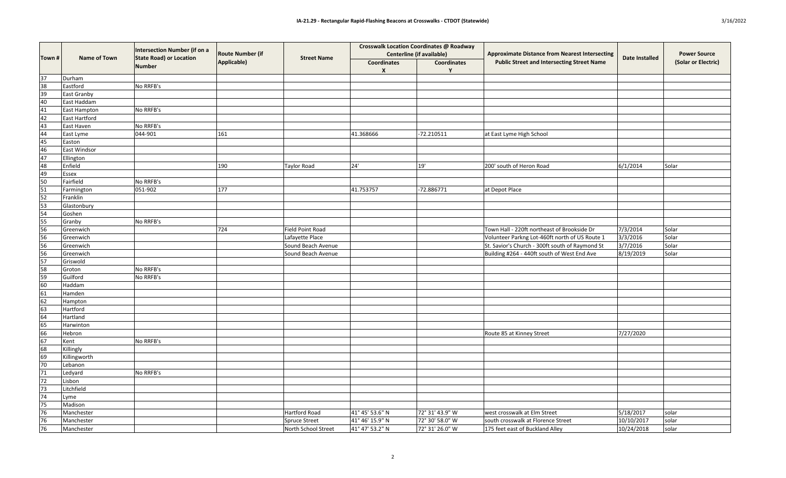|                                                                                  | <b>Name of Town</b>  | <b>Intersection Number (if on a</b><br><b>State Road) or Location</b><br>Number | <b>Route Number (if</b><br>Applicable) | <b>Street Name</b>      | <b>Crosswalk Location Coordinates @ Roadway</b><br><b>Centerline (if available)</b> |                    | <b>Approximate Distance from Nearest Intersecting</b> | <b>Date Installed</b> | <b>Power Source</b> |
|----------------------------------------------------------------------------------|----------------------|---------------------------------------------------------------------------------|----------------------------------------|-------------------------|-------------------------------------------------------------------------------------|--------------------|-------------------------------------------------------|-----------------------|---------------------|
| Town #                                                                           |                      |                                                                                 |                                        |                         | <b>Coordinates</b><br>$\boldsymbol{X}$                                              | <b>Coordinates</b> | <b>Public Street and Intersecting Street Name</b>     |                       | (Solar or Electric) |
| 37                                                                               | Durham               |                                                                                 |                                        |                         |                                                                                     |                    |                                                       |                       |                     |
| $\overline{38}$                                                                  | Eastford             | No RRFB's                                                                       |                                        |                         |                                                                                     |                    |                                                       |                       |                     |
| 39                                                                               | <b>East Granby</b>   |                                                                                 |                                        |                         |                                                                                     |                    |                                                       |                       |                     |
| 40                                                                               | East Haddam          |                                                                                 |                                        |                         |                                                                                     |                    |                                                       |                       |                     |
| 41                                                                               | East Hampton         | No RRFB's                                                                       |                                        |                         |                                                                                     |                    |                                                       |                       |                     |
| 42                                                                               | <b>East Hartford</b> |                                                                                 |                                        |                         |                                                                                     |                    |                                                       |                       |                     |
| 43                                                                               | East Haven           | No RRFB's                                                                       |                                        |                         |                                                                                     |                    |                                                       |                       |                     |
| 44                                                                               | East Lyme            | 044-901                                                                         | 161                                    |                         | 41.368666                                                                           | $-72.210511$       | at East Lyme High School                              |                       |                     |
|                                                                                  | Easton               |                                                                                 |                                        |                         |                                                                                     |                    |                                                       |                       |                     |
| $\frac{45}{46}$                                                                  | East Windsor         |                                                                                 |                                        |                         |                                                                                     |                    |                                                       |                       |                     |
| 47                                                                               | Ellington            |                                                                                 |                                        |                         |                                                                                     |                    |                                                       |                       |                     |
| 48                                                                               | Enfield              |                                                                                 | 190                                    | Taylor Road             | 24'                                                                                 | 19'                | 200' south of Heron Road                              | 6/1/2014              | Solar               |
| 49                                                                               | <b>Essex</b>         |                                                                                 |                                        |                         |                                                                                     |                    |                                                       |                       |                     |
| 50                                                                               | Fairfield            | No RRFB's                                                                       |                                        |                         |                                                                                     |                    |                                                       |                       |                     |
| 51                                                                               | Farmington           | 051-902                                                                         | 177                                    |                         | 41.753757                                                                           | $-72.886771$       | at Depot Place                                        |                       |                     |
|                                                                                  | Franklin             |                                                                                 |                                        |                         |                                                                                     |                    |                                                       |                       |                     |
|                                                                                  | Glastonbury          |                                                                                 |                                        |                         |                                                                                     |                    |                                                       |                       |                     |
| $\frac{52}{53}$ $\frac{53}{54}$                                                  | Goshen               |                                                                                 |                                        |                         |                                                                                     |                    |                                                       |                       |                     |
|                                                                                  | Granby               | No RRFB's                                                                       |                                        |                         |                                                                                     |                    |                                                       |                       |                     |
|                                                                                  | Greenwich            |                                                                                 | 724                                    | <b>Field Point Road</b> |                                                                                     |                    | Town Hall - 220ft northeast of Brookside Dr           | 7/3/2014              | Solar               |
|                                                                                  | Greenwich            |                                                                                 |                                        | Lafayette Place         |                                                                                     |                    | Volunteer Parkng Lot-460ft north of US Route 1        | 3/3/2016              | Solar               |
| 55 56 56 56 57 58                                                                | Greenwich            |                                                                                 |                                        | Sound Beach Avenue      |                                                                                     |                    | St. Savior's Church - 300ft south of Raymond St       | 3/7/2016              | Solar               |
|                                                                                  | Greenwich            |                                                                                 |                                        | Sound Beach Avenue      |                                                                                     |                    | Building #264 - 440ft south of West End Ave           | 8/19/2019             | Solar               |
|                                                                                  | Griswold             |                                                                                 |                                        |                         |                                                                                     |                    |                                                       |                       |                     |
|                                                                                  | Groton               | No RRFB's                                                                       |                                        |                         |                                                                                     |                    |                                                       |                       |                     |
|                                                                                  | Guilford             | No RRFB's                                                                       |                                        |                         |                                                                                     |                    |                                                       |                       |                     |
| $\frac{59}{60}$                                                                  | Haddam               |                                                                                 |                                        |                         |                                                                                     |                    |                                                       |                       |                     |
|                                                                                  | Hamden               |                                                                                 |                                        |                         |                                                                                     |                    |                                                       |                       |                     |
|                                                                                  | Hampton              |                                                                                 |                                        |                         |                                                                                     |                    |                                                       |                       |                     |
| $\frac{61}{62}$<br>$\frac{62}{64}$                                               | Hartford             |                                                                                 |                                        |                         |                                                                                     |                    |                                                       |                       |                     |
|                                                                                  | Hartland             |                                                                                 |                                        |                         |                                                                                     |                    |                                                       |                       |                     |
|                                                                                  | Harwinton            |                                                                                 |                                        |                         |                                                                                     |                    |                                                       |                       |                     |
| $\begin{array}{r}\n\overline{65} \\ \overline{66} \\ \overline{67}\n\end{array}$ | Hebron               |                                                                                 |                                        |                         |                                                                                     |                    | Route 85 at Kinney Street                             | 7/27/2020             |                     |
|                                                                                  | Kent                 | No RRFB's                                                                       |                                        |                         |                                                                                     |                    |                                                       |                       |                     |
|                                                                                  | Killingly            |                                                                                 |                                        |                         |                                                                                     |                    |                                                       |                       |                     |
|                                                                                  | Killingworth         |                                                                                 |                                        |                         |                                                                                     |                    |                                                       |                       |                     |
|                                                                                  | Lebanon              |                                                                                 |                                        |                         |                                                                                     |                    |                                                       |                       |                     |
| 68<br>69<br>70<br>71                                                             | Ledyard              | No RRFB's                                                                       |                                        |                         |                                                                                     |                    |                                                       |                       |                     |
| $\overline{72}$                                                                  | Lisbon               |                                                                                 |                                        |                         |                                                                                     |                    |                                                       |                       |                     |
| 73                                                                               | Litchfield           |                                                                                 |                                        |                         |                                                                                     |                    |                                                       |                       |                     |
| $\overline{74}$                                                                  | Lyme                 |                                                                                 |                                        |                         |                                                                                     |                    |                                                       |                       |                     |
| $\overline{75}$                                                                  | Madison              |                                                                                 |                                        |                         |                                                                                     |                    |                                                       |                       |                     |
| $\overline{76}$                                                                  | Manchester           |                                                                                 |                                        | Hartford Road           | 41° 45' 53.6" N                                                                     | 72° 31' 43.9" W    | west crosswalk at Elm Street                          | 5/18/2017             | solar               |
|                                                                                  | Manchester           |                                                                                 |                                        | Spruce Street           | 41° 46' 15.9" N                                                                     | 72° 30' 58.0" W    | south crosswalk at Florence Street                    | 10/10/2017            | solar               |
| $\frac{76}{76}$                                                                  | Manchester           |                                                                                 |                                        | North School Street     | 41° 47' 53.2" N                                                                     | 72° 31′ 26.0″ W    | 175 feet east of Buckland Alley                       | 10/24/2018            | solar               |
|                                                                                  |                      |                                                                                 |                                        |                         |                                                                                     |                    |                                                       |                       |                     |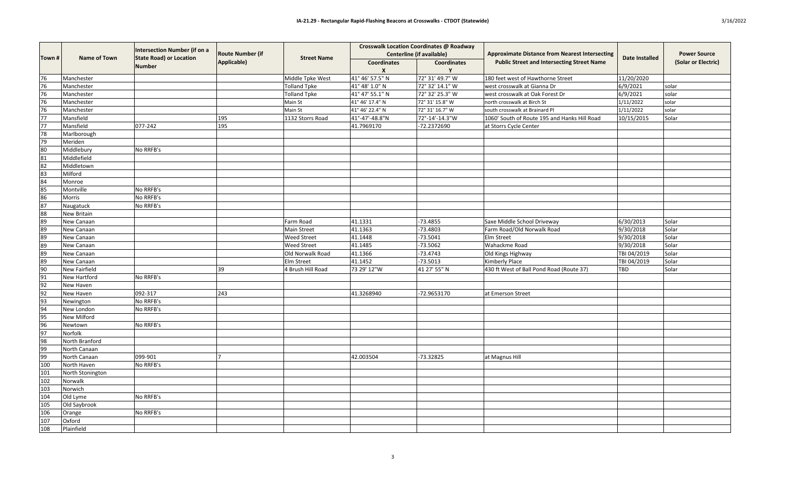| Town #                                                                                                                                                                                                                                                                     | <b>Name of Town</b> | Intersection Number (if on a<br><b>State Road) or Location</b><br>Number | <b>Route Number (if</b><br><b>Applicable</b> ) | <b>Street Name</b>  | <b>Crosswalk Location Coordinates @ Roadway</b><br><b>Centerline (if available)</b> |                    | <b>Approximate Distance from Nearest Intersecting</b> | <b>Date Installed</b> | <b>Power Source</b> |
|----------------------------------------------------------------------------------------------------------------------------------------------------------------------------------------------------------------------------------------------------------------------------|---------------------|--------------------------------------------------------------------------|------------------------------------------------|---------------------|-------------------------------------------------------------------------------------|--------------------|-------------------------------------------------------|-----------------------|---------------------|
|                                                                                                                                                                                                                                                                            |                     |                                                                          |                                                |                     | <b>Coordinates</b><br>X                                                             | <b>Coordinates</b> | <b>Public Street and Intersecting Street Name</b>     |                       | (Solar or Electric) |
| 76                                                                                                                                                                                                                                                                         | Manchester          |                                                                          |                                                | Middle Tpke West    | 41° 46' 57.5" N                                                                     | 72° 31' 49.7" W    | 180 feet west of Hawthorne Street                     | 11/20/2020            |                     |
| $\overline{76}$                                                                                                                                                                                                                                                            | Manchester          |                                                                          |                                                | <b>Tolland Tpke</b> | 41° 48' 1.0" N                                                                      | 72° 32′ 14.1″ W    | west crosswalk at Gianna Dr                           | 6/9/2021              | solar               |
| 76                                                                                                                                                                                                                                                                         | Manchester          |                                                                          |                                                | <b>Tolland Tpke</b> | 41° 47' 55.1" N                                                                     | 72° 32' 25.3" W    | west crosswalk at Oak Forest Dr                       | 6/9/2021              | solar               |
| 76                                                                                                                                                                                                                                                                         | Manchester          |                                                                          |                                                | Main St             | 41° 46' 17.4" N                                                                     | 72° 31′ 15.8" W    | north crosswalk at Birch St                           | 1/11/2022             | solar               |
| 76                                                                                                                                                                                                                                                                         | Manchester          |                                                                          |                                                | Main St             | 41° 46' 22.4" N                                                                     | 72° 31' 16.7" W    | south crosswalk at Brainard Pl                        | 1/11/2022             | solar               |
| $\overline{77}$                                                                                                                                                                                                                                                            | Mansfield           |                                                                          | 195                                            | 1132 Storrs Road    | 41°-47'-48.8"N                                                                      | 72°-14'-14.3"W     | 1060' South of Route 195 and Hanks Hill Road          | 10/15/2015            | Solar               |
| $\overline{77}$                                                                                                                                                                                                                                                            | Mansfield           | 077-242                                                                  | 195                                            |                     | 41.7969170                                                                          | -72.2372690        | at Storrs Cycle Center                                |                       |                     |
| 78                                                                                                                                                                                                                                                                         | Marlborough         |                                                                          |                                                |                     |                                                                                     |                    |                                                       |                       |                     |
| $\frac{79}{80}$                                                                                                                                                                                                                                                            | Meriden             |                                                                          |                                                |                     |                                                                                     |                    |                                                       |                       |                     |
|                                                                                                                                                                                                                                                                            | Middlebury          | No RRFB's                                                                |                                                |                     |                                                                                     |                    |                                                       |                       |                     |
| 81                                                                                                                                                                                                                                                                         | Middlefield         |                                                                          |                                                |                     |                                                                                     |                    |                                                       |                       |                     |
| $\overline{82}$                                                                                                                                                                                                                                                            | Middletown          |                                                                          |                                                |                     |                                                                                     |                    |                                                       |                       |                     |
| 83                                                                                                                                                                                                                                                                         | Milford             |                                                                          |                                                |                     |                                                                                     |                    |                                                       |                       |                     |
| 84                                                                                                                                                                                                                                                                         | Monroe              |                                                                          |                                                |                     |                                                                                     |                    |                                                       |                       |                     |
| 85                                                                                                                                                                                                                                                                         | Montville           | No RRFB's                                                                |                                                |                     |                                                                                     |                    |                                                       |                       |                     |
| 86                                                                                                                                                                                                                                                                         | Morris              | No RRFB's                                                                |                                                |                     |                                                                                     |                    |                                                       |                       |                     |
| 87                                                                                                                                                                                                                                                                         | Naugatuck           | No RRFB's                                                                |                                                |                     |                                                                                     |                    |                                                       |                       |                     |
| 88                                                                                                                                                                                                                                                                         | New Britain         |                                                                          |                                                |                     |                                                                                     |                    |                                                       |                       |                     |
| 89                                                                                                                                                                                                                                                                         | New Canaan          |                                                                          |                                                | Farm Road           | 41.1331                                                                             | $-73.4855$         | Saxe Middle School Driveway                           | 6/30/2013             | Solar               |
| $\frac{89}{89}$                                                                                                                                                                                                                                                            | New Canaan          |                                                                          |                                                | <b>Main Street</b>  | 41.1363                                                                             | $-73.4803$         | Farm Road/Old Norwalk Road                            | 9/30/2018             | Solar               |
|                                                                                                                                                                                                                                                                            | New Canaan          |                                                                          |                                                | <b>Weed Street</b>  | 41.1448                                                                             | $-73.5041$         | <b>Elm Street</b>                                     | 9/30/2018             | Solar               |
| $\frac{89}{89}$                                                                                                                                                                                                                                                            | New Canaan          |                                                                          |                                                | <b>Weed Street</b>  | 41.1485                                                                             | $-73.5062$         | Wahackme Road                                         | 9/30/2018             | Solar               |
|                                                                                                                                                                                                                                                                            | New Canaan          |                                                                          |                                                | Old Norwalk Road    | 41.1366                                                                             | $-73.4743$         | Old Kings Highway                                     | TBI 04/2019           | Solar               |
|                                                                                                                                                                                                                                                                            | New Canaan          |                                                                          |                                                | Elm Street          | 41.1452                                                                             | $-73.5013$         | Kimberly Place                                        | TBI 04/2019           | Solar               |
| $\frac{89}{90}$                                                                                                                                                                                                                                                            | New Fairfield       |                                                                          | 39                                             | 4 Brush Hill Road   | 73 29' 12"W                                                                         | 41 27' 55" N       | 430 ft West of Ball Pond Road (Route 37)              | <b>TBD</b>            | Solar               |
|                                                                                                                                                                                                                                                                            | New Hartford        | No RRFB's                                                                |                                                |                     |                                                                                     |                    |                                                       |                       |                     |
|                                                                                                                                                                                                                                                                            | New Haven           |                                                                          |                                                |                     |                                                                                     |                    |                                                       |                       |                     |
|                                                                                                                                                                                                                                                                            | New Haven           | 092-317                                                                  | 243                                            |                     | 41.3268940                                                                          | -72.9653170        | at Emerson Street                                     |                       |                     |
|                                                                                                                                                                                                                                                                            | Newington           | No RRFB's                                                                |                                                |                     |                                                                                     |                    |                                                       |                       |                     |
|                                                                                                                                                                                                                                                                            | New London          | No RRFB's                                                                |                                                |                     |                                                                                     |                    |                                                       |                       |                     |
|                                                                                                                                                                                                                                                                            | New Milford         |                                                                          |                                                |                     |                                                                                     |                    |                                                       |                       |                     |
|                                                                                                                                                                                                                                                                            | Newtown             | No RRFB's                                                                |                                                |                     |                                                                                     |                    |                                                       |                       |                     |
|                                                                                                                                                                                                                                                                            | Norfolk             |                                                                          |                                                |                     |                                                                                     |                    |                                                       |                       |                     |
|                                                                                                                                                                                                                                                                            | North Branford      |                                                                          |                                                |                     |                                                                                     |                    |                                                       |                       |                     |
|                                                                                                                                                                                                                                                                            | North Canaan        |                                                                          |                                                |                     |                                                                                     |                    |                                                       |                       |                     |
|                                                                                                                                                                                                                                                                            | North Canaan        | 099-901                                                                  |                                                |                     | 42.003504                                                                           | $-73.32825$        | at Magnus Hill                                        |                       |                     |
|                                                                                                                                                                                                                                                                            | North Haven         | No RRFB's                                                                |                                                |                     |                                                                                     |                    |                                                       |                       |                     |
| $\begin{array}{r} \hline 91 \\ \hline 92 \\ \hline 93 \\ \hline 94 \\ \hline 95 \\ \hline 96 \\ \hline 99 \\ \hline 99 \\ \hline 99 \\ \hline 100 \\ \hline 101 \\ \hline 102 \\ \hline 104 \\ \hline 105 \\ \hline 106 \\ \hline 107 \\ \hline 108 \\ \hline \end{array}$ | North Stonington    |                                                                          |                                                |                     |                                                                                     |                    |                                                       |                       |                     |
|                                                                                                                                                                                                                                                                            | Norwalk             |                                                                          |                                                |                     |                                                                                     |                    |                                                       |                       |                     |
|                                                                                                                                                                                                                                                                            | Norwich             |                                                                          |                                                |                     |                                                                                     |                    |                                                       |                       |                     |
|                                                                                                                                                                                                                                                                            | Old Lyme            | No RRFB's                                                                |                                                |                     |                                                                                     |                    |                                                       |                       |                     |
|                                                                                                                                                                                                                                                                            | Old Saybrook        |                                                                          |                                                |                     |                                                                                     |                    |                                                       |                       |                     |
|                                                                                                                                                                                                                                                                            | Orange              | No RRFB's                                                                |                                                |                     |                                                                                     |                    |                                                       |                       |                     |
|                                                                                                                                                                                                                                                                            | Oxford              |                                                                          |                                                |                     |                                                                                     |                    |                                                       |                       |                     |
|                                                                                                                                                                                                                                                                            | Plainfield          |                                                                          |                                                |                     |                                                                                     |                    |                                                       |                       |                     |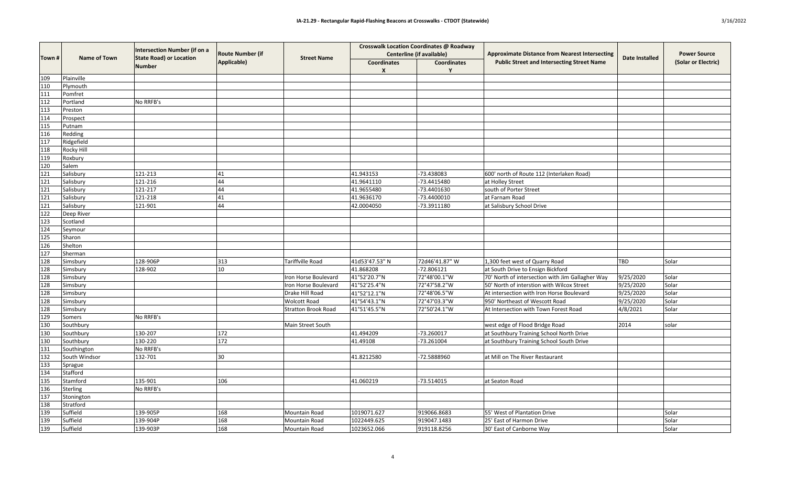| Town # | <b>Name of Town</b> | Intersection Number (if on a<br><b>State Road) or Location</b><br>Number | <b>Route Number (if</b><br>Applicable) | <b>Street Name</b>         |                                        | <b>Crosswalk Location Coordinates @ Roadway</b><br><b>Centerline (if available)</b> | <b>Approximate Distance from Nearest Intersecting</b><br><b>Public Street and Intersecting Street Name</b> | <b>Date Installed</b> | <b>Power Source</b><br>(Solar or Electric) |
|--------|---------------------|--------------------------------------------------------------------------|----------------------------------------|----------------------------|----------------------------------------|-------------------------------------------------------------------------------------|------------------------------------------------------------------------------------------------------------|-----------------------|--------------------------------------------|
|        |                     |                                                                          |                                        |                            | <b>Coordinates</b><br>$\boldsymbol{X}$ | <b>Coordinates</b>                                                                  |                                                                                                            |                       |                                            |
| 109    | Plainville          |                                                                          |                                        |                            |                                        |                                                                                     |                                                                                                            |                       |                                            |
| 110    | Plymouth            |                                                                          |                                        |                            |                                        |                                                                                     |                                                                                                            |                       |                                            |
| 111    | Pomfret             |                                                                          |                                        |                            |                                        |                                                                                     |                                                                                                            |                       |                                            |
| 112    | Portland            | No RRFB's                                                                |                                        |                            |                                        |                                                                                     |                                                                                                            |                       |                                            |
| 113    | Preston             |                                                                          |                                        |                            |                                        |                                                                                     |                                                                                                            |                       |                                            |
| 114    | Prospect            |                                                                          |                                        |                            |                                        |                                                                                     |                                                                                                            |                       |                                            |
| 115    | Putnam              |                                                                          |                                        |                            |                                        |                                                                                     |                                                                                                            |                       |                                            |
| 116    | Redding             |                                                                          |                                        |                            |                                        |                                                                                     |                                                                                                            |                       |                                            |
| 117    | Ridgefield          |                                                                          |                                        |                            |                                        |                                                                                     |                                                                                                            |                       |                                            |
| 118    | <b>Rocky Hill</b>   |                                                                          |                                        |                            |                                        |                                                                                     |                                                                                                            |                       |                                            |
| 119    | Roxbury             |                                                                          |                                        |                            |                                        |                                                                                     |                                                                                                            |                       |                                            |
| 120    | Salem               |                                                                          |                                        |                            |                                        |                                                                                     |                                                                                                            |                       |                                            |
| 121    | Salisbury           | 121-213                                                                  |                                        |                            | 41.943153                              | -73.438083                                                                          | 600' north of Route 112 (Interlaken Road)                                                                  |                       |                                            |
| 121    | Salisbury           | 121-216                                                                  |                                        |                            | 41.9641110                             | -73.4415480                                                                         | at Holley Street                                                                                           |                       |                                            |
| 121    | Salisbury           | 121-217                                                                  |                                        |                            | 41.9655480                             | -73.4401630                                                                         | south of Porter Street                                                                                     |                       |                                            |
| 121    | Salisbury           | 121-218                                                                  |                                        |                            | 41.9636170                             | -73.4400010                                                                         | at Farnam Road                                                                                             |                       |                                            |
| 121    | Salisbury           | 121-901                                                                  | 44                                     |                            | 42.0004050                             | -73.3911180                                                                         | at Salisbury School Drive                                                                                  |                       |                                            |
| 122    | Deep River          |                                                                          |                                        |                            |                                        |                                                                                     |                                                                                                            |                       |                                            |
| 123    | Scotland            |                                                                          |                                        |                            |                                        |                                                                                     |                                                                                                            |                       |                                            |
| 124    | Seymour             |                                                                          |                                        |                            |                                        |                                                                                     |                                                                                                            |                       |                                            |
| 125    | Sharon              |                                                                          |                                        |                            |                                        |                                                                                     |                                                                                                            |                       |                                            |
| 126    | Shelton             |                                                                          |                                        |                            |                                        |                                                                                     |                                                                                                            |                       |                                            |
| 127    | Sherman             |                                                                          |                                        |                            |                                        |                                                                                     |                                                                                                            |                       |                                            |
| 128    | Simsbury            | 128-906P                                                                 | 313                                    | Tariffville Road           | 41d53'47.53" N                         | 72d46'41.87" W                                                                      | 1,300 feet west of Quarry Road                                                                             | TBD                   | Solar                                      |
| 128    | Simsbury            | 128-902                                                                  | 10                                     |                            | 41.868208                              | $-72.806121$                                                                        | at South Drive to Ensign Bickford                                                                          |                       |                                            |
| 128    | Simsbury            |                                                                          |                                        | Iron Horse Boulevard       | 41°52'20.7"N                           | 72°48'00.1"W                                                                        | 70' North of intersection with Jim Gallagher Way                                                           | 9/25/2020             | Solar                                      |
| 128    | Simsbury            |                                                                          |                                        | Iron Horse Boulevard       | 41°52'25.4"N                           | 72°47'58.2"W                                                                        | 50' North of interstion with Wilcox Street                                                                 | 9/25/2020             | Solar                                      |
| 128    | Simsbury            |                                                                          |                                        | Drake Hill Road            | 41°52'12.1"N                           | 72°48'06.5"W                                                                        | At intersection with Iron Horse Boulevard                                                                  | 9/25/2020             | Solar                                      |
| 128    | Simsbury            |                                                                          |                                        | <b>Wolcott Road</b>        | 41°54'43.1"N                           | 72°47'03.3"W                                                                        | 950' Northeast of Wescott Road                                                                             | 9/25/2020             | Solar                                      |
| 128    | Simsbury            |                                                                          |                                        | <b>Stratton Brook Road</b> | 41°51'45.5"N                           | 72°50'24.1"W                                                                        | At Intersection with Town Forest Road                                                                      | 4/8/2021              | Solar                                      |
| 129    | Somers              | No RRFB's                                                                |                                        |                            |                                        |                                                                                     |                                                                                                            |                       |                                            |
| 130    | Southbury           |                                                                          |                                        | Main Street South          |                                        |                                                                                     | west edge of Flood Bridge Road                                                                             | 2014                  | solar                                      |
| 130    | Southbury           | 130-207                                                                  | 172                                    |                            | 41.494209                              | $-73.260017$                                                                        | at Southbury Training School North Drive                                                                   |                       |                                            |
| 130    | Southbury           | 130-220                                                                  | 172                                    |                            | 41.49108                               | -73.261004                                                                          | at Southbury Training School South Drive                                                                   |                       |                                            |
| 131    | Southington         | No RRFB's                                                                |                                        |                            |                                        |                                                                                     |                                                                                                            |                       |                                            |
| 132    | South Windsor       | 132-701                                                                  | 30                                     |                            | 41.8212580                             | -72.5888960                                                                         | at Mill on The River Restaurant                                                                            |                       |                                            |
| 133    | Sprague             |                                                                          |                                        |                            |                                        |                                                                                     |                                                                                                            |                       |                                            |
| 134    | Stafford            |                                                                          |                                        |                            |                                        |                                                                                     |                                                                                                            |                       |                                            |
| 135    | Stamford            | 135-901                                                                  | 106                                    |                            | 41.060219                              | $-73.514015$                                                                        | at Seaton Road                                                                                             |                       |                                            |
| 136    | Sterling            | No RRFB's                                                                |                                        |                            |                                        |                                                                                     |                                                                                                            |                       |                                            |
| 137    | Stonington          |                                                                          |                                        |                            |                                        |                                                                                     |                                                                                                            |                       |                                            |
| 138    | Stratford           |                                                                          |                                        |                            |                                        |                                                                                     |                                                                                                            |                       |                                            |
| 139    | Suffield            | 139-905P                                                                 | 168                                    | Mountain Road              | 1019071.627                            | 919066.8683                                                                         | 55' West of Plantation Drive                                                                               |                       | Solar                                      |
| 139    | Suffield            | 139-904P                                                                 | 168                                    | Mountain Road              | 1022449.625                            | 919047.1483                                                                         | 25' East of Harmon Drive                                                                                   |                       | Solar                                      |
| 139    | Suffield            | 139-903P                                                                 | 168                                    | Mountain Road              | 1023652.066                            | 919118.8256                                                                         | 30' East of Canborne Way                                                                                   |                       | Solar                                      |